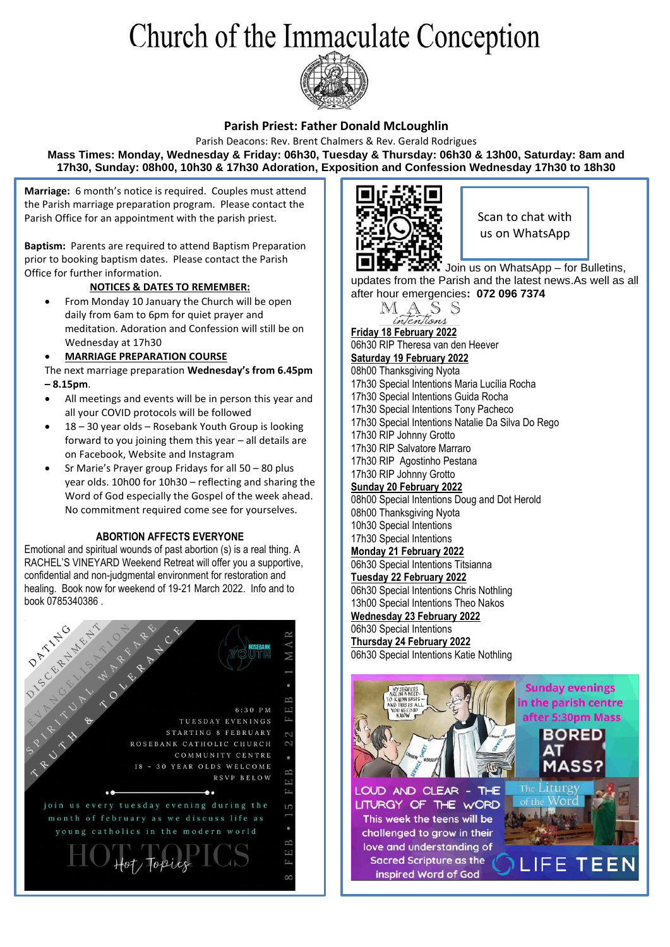# Church of the Immaculate Conception



## **Parish Priest: Father Donald McLoughlin**

Parish Deacons: Rev. Brent Chalmers & Rev. Gerald Rodrigues **Mass Times: Monday, Wednesday & Friday: 06h30, Tuesday & Thursday: 06h30 & 13h00, Saturday: 8am and 17h30, Sunday: 08h00, 10h30 & 17h30 Adoration, Exposition and Confession Wednesday 17h30 to 18h30**

**Marriage:** 6 month's notice is required. Couples must attend the Parish marriage preparation program. Please contact the Parish Office for an appointment with the parish priest.

**Baptism:** Parents are required to attend Baptism Preparation prior to booking baptism dates. Please contact the Parish Office for further information.

## **NOTICES & DATES TO REMEMBER:**

• From Monday 10 January the Church will be open daily from 6am to 6pm for quiet prayer and meditation. Adoration and Confession will still be on Wednesday at 17h30

## • **MARRIAGE PREPARATION COURSE**

- The next marriage preparation **Wednesday's from 6.45pm – 8.15pm**.
- All meetings and events will be in person this year and all your COVID protocols will be followed
- 18 30 year olds Rosebank Youth Group is looking forward to you joining them this year – all details are on Facebook, Website and Instagram
- Sr Marie's Prayer group Fridays for all 50 80 plus year olds. 10h00 for 10h30 – reflecting and sharing the Word of God especially the Gospel of the week ahead. No commitment required come see for yourselves.

### **ABORTION AFFECTS EVERYONE**

Emotional and spiritual wounds of past abortion (s) is a real thing. A RACHEL'S VINEYARD Weekend Retreat will offer you a supportive, confidential and non-judgmental environment for restoration and healing. Book now for weekend of 19-21 March 2022. Info and to book 0785340386 .





Scan to chat with us on WhatsApp

Join us on WhatsApp – for Bulletins, updates from the Parish and the latest news.As well as all after hour emergencies**: 072 096 7374**



**Friday 18 February 2022** 06h30 RIP Theresa van den Heever **Saturday 19 February 2022** 08h00 Thanksgiving Nyota

17h30 Special Intentions Maria Lucília Rocha

- 17h30 Special Intentions Guida Rocha
- 17h30 Special Intentions Tony Pacheco
- 17h30 Special Intentions Natalie Da Silva Do Rego
- 17h30 RIP Johnny Grotto
- 17h30 RIP Salvatore Marraro
- 17h30 RIP Agostinho Pestana

#### 17h30 RIP Johnny Grotto **Sunday 20 February 2022**

08h00 Special Intentions Doug and Dot Herold 08h00 Thanksgiving Nyota 10h30 Special Intentions 17h30 Special Intentions **Monday 21 February 2022**

## 06h30 Special Intentions Titsianna

- **Tuesday 22 February 2022** 06h30 Special Intentions Chris Nothling
- 13h00 Special Intentions Theo Nakos **Wednesday 23 February 2022**

## 06h30 Special Intentions

**Thursday 24 February 2022** 06h30 Special Intentions Katie Nothling